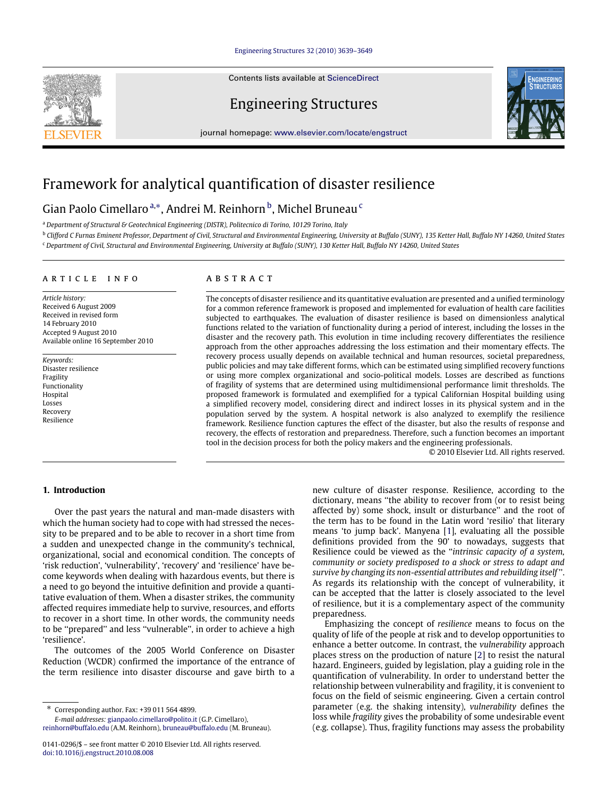# [Engineering Structures 32 \(2010\) 3639–3649](http://dx.doi.org/10.1016/j.engstruct.2010.08.008)

Contents lists available at [ScienceDirect](http://www.elsevier.com/locate/engstruct)

Engineering Structures

journal homepage: [www.elsevier.com/locate/engstruct](http://www.elsevier.com/locate/engstruct)



# Framework for analytical quantification of disaster resilience

# Gian Paolo Cimellaro ª,\*, Andrei M. Reinhorn <sup>[b](#page-0-2)</sup>, Mi[c](#page-0-3)hel Bruneau <sup>c</sup>

<span id="page-0-0"></span><sup>a</sup> *Department of Structural & Geotechnical Engineering (DISTR), Politecnico di Torino, 10129 Torino, Italy*

<span id="page-0-3"></span><span id="page-0-2"></span><sup>b</sup> *Clifford C Furnas Eminent Professor, Department of Civil, Structural and Environmental Engineering, University at Buffalo (SUNY), 135 Ketter Hall, Buffalo NY 14260, United States* <sup>c</sup> *Department of Civil, Structural and Environmental Engineering, University at Buffalo (SUNY), 130 Ketter Hall, Buffalo NY 14260, United States*

ARTICLE INFO

*Article history:* Received 6 August 2009 Received in revised form 14 February 2010 Accepted 9 August 2010 Available online 16 September 2010

*Keywords:* Disaster resilience Fragility Functionality Hospital Losses Recovery Resilience

# A B S T R A C T

The concepts of disaster resilience and its quantitative evaluation are presented and a unified terminology for a common reference framework is proposed and implemented for evaluation of health care facilities subjected to earthquakes. The evaluation of disaster resilience is based on dimensionless analytical functions related to the variation of functionality during a period of interest, including the losses in the disaster and the recovery path. This evolution in time including recovery differentiates the resilience approach from the other approaches addressing the loss estimation and their momentary effects. The recovery process usually depends on available technical and human resources, societal preparedness, public policies and may take different forms, which can be estimated using simplified recovery functions or using more complex organizational and socio-political models. Losses are described as functions of fragility of systems that are determined using multidimensional performance limit thresholds. The proposed framework is formulated and exemplified for a typical Californian Hospital building using a simplified recovery model, considering direct and indirect losses in its physical system and in the population served by the system. A hospital network is also analyzed to exemplify the resilience framework. Resilience function captures the effect of the disaster, but also the results of response and recovery, the effects of restoration and preparedness. Therefore, such a function becomes an important tool in the decision process for both the policy makers and the engineering professionals.

© 2010 Elsevier Ltd. All rights reserved.

# **1. Introduction**

Over the past years the natural and man-made disasters with which the human society had to cope with had stressed the necessity to be prepared and to be able to recover in a short time from a sudden and unexpected change in the community's technical, organizational, social and economical condition. The concepts of 'risk reduction', 'vulnerability', 'recovery' and 'resilience' have become keywords when dealing with hazardous events, but there is a need to go beyond the intuitive definition and provide a quantitative evaluation of them. When a disaster strikes, the community affected requires immediate help to survive, resources, and efforts to recover in a short time. In other words, the community needs to be ''prepared'' and less ''vulnerable'', in order to achieve a high 'resilience'.

The outcomes of the 2005 World Conference on Disaster Reduction (WCDR) confirmed the importance of the entrance of the term resilience into disaster discourse and gave birth to a

<span id="page-0-1"></span>Corresponding author. Fax: +39 011 564 4899.

*E-mail addresses:* [gianpaolo.cimellaro@polito.it](mailto:gianpaolo.cimellaro@polito.it) (G.P. Cimellaro), [reinhorn@buffalo.edu](mailto:reinhorn@buffalo.edu) (A.M. Reinhorn), [bruneau@buffalo.edu](mailto:bruneau@buffalo.edu) (M. Bruneau). new culture of disaster response. Resilience, according to the dictionary, means ''the ability to recover from (or to resist being affected by) some shock, insult or disturbance'' and the root of the term has to be found in the Latin word 'resilio' that literary means 'to jump back'. Manyena [\[1\]](#page-10-0), evaluating all the possible definitions provided from the 90' to nowadays, suggests that Resilience could be viewed as the ''*intrinsic capacity of a system, community or society predisposed to a shock or stress to adapt and survive by changing its non-essential attributes and rebuilding itself* ''. As regards its relationship with the concept of vulnerability, it can be accepted that the latter is closely associated to the level of resilience, but it is a complementary aspect of the community preparedness.

Emphasizing the concept of *resilience* means to focus on the quality of life of the people at risk and to develop opportunities to enhance a better outcome. In contrast, the *vulnerability* approach places stress on the production of nature [\[2\]](#page-10-1) to resist the natural hazard. Engineers, guided by legislation, play a guiding role in the quantification of vulnerability. In order to understand better the relationship between vulnerability and fragility, it is convenient to focus on the field of seismic engineering. Given a certain control parameter (e.g. the shaking intensity), *vulnerability* defines the loss while *fragility* gives the probability of some undesirable event (e.g. collapse). Thus, fragility functions may assess the probability



<sup>0141-0296/\$ –</sup> see front matter © 2010 Elsevier Ltd. All rights reserved. [doi:10.1016/j.engstruct.2010.08.008](http://dx.doi.org/10.1016/j.engstruct.2010.08.008)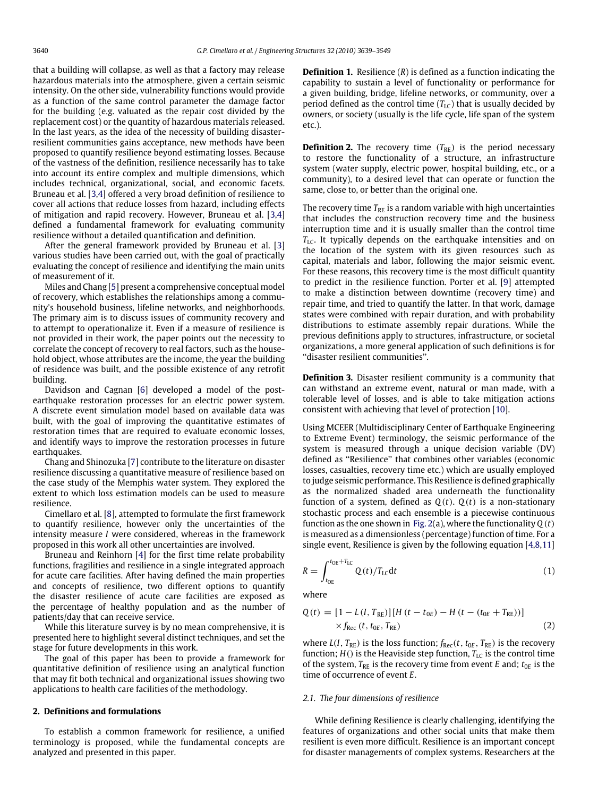that a building will collapse, as well as that a factory may release hazardous materials into the atmosphere, given a certain seismic intensity. On the other side, vulnerability functions would provide as a function of the same control parameter the damage factor for the building (e.g. valuated as the repair cost divided by the replacement cost) or the quantity of hazardous materials released. In the last years, as the idea of the necessity of building disasterresilient communities gains acceptance, new methods have been proposed to quantify resilience beyond estimating losses. Because of the vastness of the definition, resilience necessarily has to take into account its entire complex and multiple dimensions, which includes technical, organizational, social, and economic facets. Bruneau et al. [\[3,](#page-10-2)[4\]](#page-10-3) offered a very broad definition of resilience to cover all actions that reduce losses from hazard, including effects of mitigation and rapid recovery. However, Bruneau et al. [\[3](#page-10-2)[,4\]](#page-10-3) defined a fundamental framework for evaluating community resilience without a detailed quantification and definition.

After the general framework provided by Bruneau et al. [\[3\]](#page-10-2) various studies have been carried out, with the goal of practically evaluating the concept of resilience and identifying the main units of measurement of it.

Miles and Chang [\[5\]](#page-10-4) present a comprehensive conceptual model of recovery, which establishes the relationships among a community's household business, lifeline networks, and neighborhoods. The primary aim is to discuss issues of community recovery and to attempt to operationalize it. Even if a measure of resilience is not provided in their work, the paper points out the necessity to correlate the concept of recovery to real factors, such as the household object, whose attributes are the income, the year the building of residence was built, and the possible existence of any retrofit building.

Davidson and Cagnan [\[6\]](#page-10-5) developed a model of the postearthquake restoration processes for an electric power system. A discrete event simulation model based on available data was built, with the goal of improving the quantitative estimates of restoration times that are required to evaluate economic losses, and identify ways to improve the restoration processes in future earthquakes.

Chang and Shinozuka [\[7\]](#page-10-6) contribute to the literature on disaster resilience discussing a quantitative measure of resilience based on the case study of the Memphis water system. They explored the extent to which loss estimation models can be used to measure resilience.

Cimellaro et al. [\[8\]](#page-10-7), attempted to formulate the first framework to quantify resilience, however only the uncertainties of the intensity measure *I* were considered, whereas in the framework proposed in this work all other uncertainties are involved.

Bruneau and Reinhorn [\[4\]](#page-10-3) for the first time relate probability functions, fragilities and resilience in a single integrated approach for acute care facilities. After having defined the main properties and concepts of resilience, two different options to quantify the disaster resilience of acute care facilities are exposed as the percentage of healthy population and as the number of patients/day that can receive service.

While this literature survey is by no mean comprehensive, it is presented here to highlight several distinct techniques, and set the stage for future developments in this work.

The goal of this paper has been to provide a framework for quantitative definition of resilience using an analytical function that may fit both technical and organizational issues showing two applications to health care facilities of the methodology.

# **2. Definitions and formulations**

To establish a common framework for resilience, a unified terminology is proposed, while the fundamental concepts are analyzed and presented in this paper.

**Definition 1.** Resilience (*R*) is defined as a function indicating the capability to sustain a level of functionality or performance for a given building, bridge, lifeline networks, or community, over a period defined as the control time  $(T_{\text{LC}})$  that is usually decided by owners, or society (usually is the life cycle, life span of the system etc.).

**Definition 2.** The recovery time  $(T_{RE})$  is the period necessary to restore the functionality of a structure, an infrastructure system (water supply, electric power, hospital building, etc., or a community), to a desired level that can operate or function the same, close to, or better than the original one.

The recovery time  $T_{RE}$  is a random variable with high uncertainties that includes the construction recovery time and the business interruption time and it is usually smaller than the control time  $T_{\text{LC}}$ . It typically depends on the earthquake intensities and on the location of the system with its given resources such as capital, materials and labor, following the major seismic event. For these reasons, this recovery time is the most difficult quantity to predict in the resilience function. Porter et al. [\[9\]](#page-10-8) attempted to make a distinction between downtime (recovery time) and repair time, and tried to quantify the latter. In that work, damage states were combined with repair duration, and with probability distributions to estimate assembly repair durations. While the previous definitions apply to structures, infrastructure, or societal organizations, a more general application of such definitions is for ''disaster resilient communities''.

**Definition 3.** Disaster resilient community is a community that can withstand an extreme event, natural or man made, with a tolerable level of losses, and is able to take mitigation actions consistent with achieving that level of protection [\[10\]](#page-10-9).

Using MCEER (Multidisciplinary Center of Earthquake Engineering to Extreme Event) terminology, the seismic performance of the system is measured through a unique decision variable (DV) defined as ''Resilience'' that combines other variables (economic losses, casualties, recovery time etc.) which are usually employed to judge seismic performance. This Resilience is defined graphically as the normalized shaded area underneath the functionality function of a system, defined as  $Q(t)$ .  $Q(t)$  is a non-stationary stochastic process and each ensemble is a piecewise continuous function as the one shown in [Fig. 2\(](#page-4-0)a), where the functionality  $Q(t)$ is measured as a dimensionless (percentage) function of time. For a single event, Resilience is given by the following equation [\[4](#page-10-3)[,8,](#page-10-7)[11\]](#page-10-10)

<span id="page-1-0"></span>
$$
R = \int_{t_{\rm OE}}^{t_{\rm OE} + T_{\rm LC}} Q(t) / T_{\rm LC} \mathrm{d}t \tag{1}
$$

where

$$
Q(t) = [1 - L(I, T_{RE})][H(t - t_{0E}) - H(t - (t_{0E} + T_{RE}))]
$$
  
× f<sub>Rec</sub> (t, t<sub>0E</sub>, T<sub>RE</sub>) (2)

where  $L(I, T_{RE})$  is the loss function;  $f_{Rec}(t, t_{OE}, T_{RE})$  is the recovery function;  $H()$  is the Heaviside step function,  $T_{LC}$  is the control time of the system,  $T_{RE}$  is the recovery time from event  $E$  and;  $t_{0E}$  is the time of occurrence of event *E*.

# *2.1. The four dimensions of resilience*

While defining Resilience is clearly challenging, identifying the features of organizations and other social units that make them resilient is even more difficult. Resilience is an important concept for disaster managements of complex systems. Researchers at the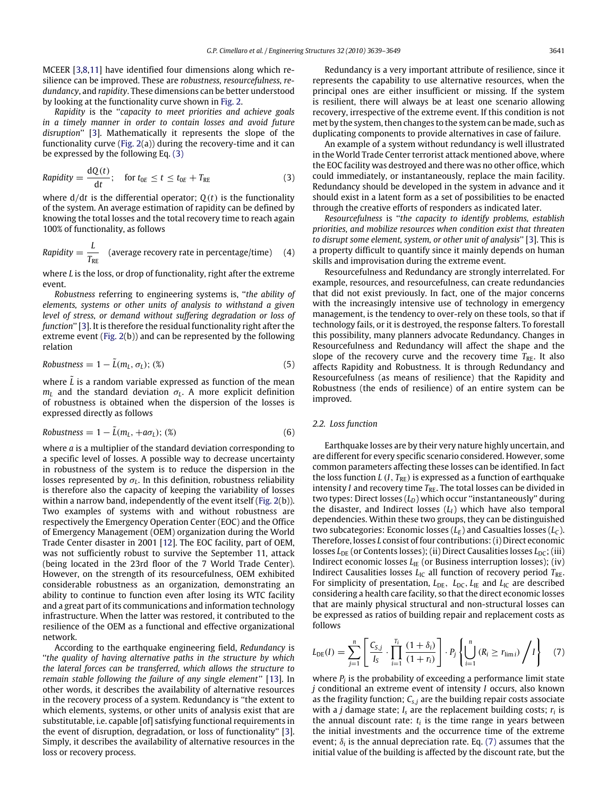MCEER [\[3,](#page-10-2)[8](#page-10-7)[,11\]](#page-10-10) have identified four dimensions along which resilience can be improved. These are *robustness, resourcefulness, redundancy*, and *rapidity*. These dimensions can be better understood by looking at the functionality curve shown in [Fig. 2.](#page-4-0)

*Rapidity* is the ''*capacity to meet priorities and achieve goals in a timely manner in order to contain losses and avoid future disruption*'' [\[3\]](#page-10-2). Mathematically it represents the slope of the functionality curve [\(Fig. 2\(](#page-4-0)a)) during the recovery-time and it can be expressed by the following Eq. [\(3\)](#page-2-0)

$$
Rapidity = \frac{dQ(t)}{dt}; \quad \text{for } t_{0E} \le t \le t_{0E} + T_{RE}
$$
 (3)

where  $d/dt$  is the differential operator;  $Q(t)$  is the functionality of the system. An average estimation of rapidity can be defined by knowing the total losses and the total recovery time to reach again 100% of functionality, as follows

$$
Rapidity = \frac{L}{T_{RE}} \quad \text{(average recovery rate in percentage/time)} \quad (4)
$$

where *L* is the loss, or drop of functionality, right after the extreme event.

*Robustness* referring to engineering systems is, ''*the ability of elements, systems or other units of analysis to withstand a given level of stress, or demand without suffering degradation or loss of function*'' [\[3\]](#page-10-2). It is therefore the residual functionality right after the extreme event [\(Fig. 2\(](#page-4-0)b)) and can be represented by the following relation

Robustness = 
$$
1 - \tilde{L}(m_L, \sigma_L)
$$
; (\*) (5)

where *L* is a random variable expressed as function of the mean  $m_L$  and the standard deviation  $\sigma_L$ . A more explicit definition of robustness is obtained when the dispersion of the losses is expressed directly as follows

Robustness = 
$$
1 - \tilde{L}(m_L, +a\sigma_L)
$$
; (\*) (6)

where *a* is a multiplier of the standard deviation corresponding to a specific level of losses. A possible way to decrease uncertainty in robustness of the system is to reduce the dispersion in the losses represented by  $\sigma_l.$  In this definition, robustness reliability is therefore also the capacity of keeping the variability of losses within a narrow band, independently of the event itself [\(Fig. 2\(](#page-4-0)b)). Two examples of systems with and without robustness are respectively the Emergency Operation Center (EOC) and the Office of Emergency Management (OEM) organization during the World Trade Center disaster in 2001 [\[12\]](#page-10-11). The EOC facility, part of OEM, was not sufficiently robust to survive the September 11, attack (being located in the 23rd floor of the 7 World Trade Center). However, on the strength of its resourcefulness, OEM exhibited considerable robustness as an organization, demonstrating an ability to continue to function even after losing its WTC facility and a great part of its communications and information technology infrastructure. When the latter was restored, it contributed to the resilience of the OEM as a functional and effective organizational network.

According to the earthquake engineering field, *Redundancy* is ''*the quality of having alternative paths in the structure by which the lateral forces can be transferred, which allows the structure to remain stable following the failure of any single element*'' [\[13\]](#page-10-12). In other words, it describes the availability of alternative resources in the recovery process of a system. Redundancy is ''the extent to which elements, systems, or other units of analysis exist that are substitutable, i.e. capable [of] satisfying functional requirements in the event of disruption, degradation, or loss of functionality'' [\[3\]](#page-10-2). Simply, it describes the availability of alternative resources in the loss or recovery process.

Redundancy is a very important attribute of resilience, since it represents the capability to use alternative resources, when the principal ones are either insufficient or missing. If the system is resilient, there will always be at least one scenario allowing recovery, irrespective of the extreme event. If this condition is not met by the system, then changes to the system can be made, such as duplicating components to provide alternatives in case of failure.

<span id="page-2-0"></span>An example of a system without redundancy is well illustrated in the World Trade Center terrorist attack mentioned above, where the EOC facility was destroyed and there was no other office, which could immediately, or instantaneously, replace the main facility. Redundancy should be developed in the system in advance and it should exist in a latent form as a set of possibilities to be enacted through the creative efforts of responders as indicated later.

*Resourcefulness* is ''*the capacity to identify problems, establish priorities, and mobilize resources when condition exist that threaten to disrupt some element, system, or other unit of analysis*'' [\[3\]](#page-10-2). This is a property difficult to quantify since it mainly depends on human skills and improvisation during the extreme event.

Resourcefulness and Redundancy are strongly interrelated. For example, resources, and resourcefulness, can create redundancies that did not exist previously. In fact, one of the major concerns with the increasingly intensive use of technology in emergency management, is the tendency to over-rely on these tools, so that if technology fails, or it is destroyed, the response falters. To forestall this possibility, many planners advocate Redundancy. Changes in Resourcefulness and Redundancy will affect the shape and the slope of the recovery curve and the recovery time  $T_{RE}$ . It also affects Rapidity and Robustness. It is through Redundancy and Resourcefulness (as means of resilience) that the Rapidity and Robustness (the ends of resilience) of an entire system can be improved.

#### *2.2. Loss function*

Earthquake losses are by their very nature highly uncertain, and are different for every specific scenario considered. However, some common parameters affecting these losses can be identified. In fact the loss function  $L(I, T_{RE})$  is expressed as a function of earthquake intensity *I* and recovery time  $T_{RE}$ . The total losses can be divided in two types: Direct losses ( $L<sub>D</sub>$ ) which occur "instantaneously" during the disaster, and Indirect losses (*LI*) which have also temporal dependencies. Within these two groups, they can be distinguished two subcategories: Economic losses (*L<sup>E</sup>* ) and Casualties losses (*L<sup>C</sup>* ). Therefore, losses *L* consist of four contributions: (i) Direct economic losses *L*<sub>DE</sub> (or Contents losses); (ii) Direct Causalities losses *L*<sub>DC</sub>; (iii) Indirect economic losses  $L_{\text{IE}}$  (or Business interruption losses); (iv) Indirect Causalities losses  $L_{IC}$  all function of recovery period  $T_{RE}$ . For simplicity of presentation,  $L_{DE}$ ,  $L_{DC}$ ,  $L_{IF}$  and  $L_{IC}$  are described considering a health care facility, so that the direct economic losses that are mainly physical structural and non-structural losses can be expressed as ratios of building repair and replacement costs as follows

<span id="page-2-1"></span>
$$
L_{\text{DE}}(I) = \sum_{j=1}^{n} \left[ \frac{C_{S,j}}{I_S} \cdot \prod_{i=1}^{T_i} \frac{(1+\delta_i)}{(1+r_i)} \right] \cdot P_j \left\{ \bigcup_{i=1}^{n} (R_i \ge r_{\text{lim }i}) / I \right\} \tag{7}
$$

where  $P_j$  is the probability of exceeding a performance limit state *j* conditional an extreme event of intensity *I* occurs, also known as the fragility function; *Cs*,*<sup>j</sup>* are the building repair costs associate with a *j* damage state;  $I_s$  are the replacement building costs;  $r_i$  is the annual discount rate:  $t_i$  is the time range in years between the initial investments and the occurrence time of the extreme event;  $\delta_i$  is the annual depreciation rate. Eq. [\(7\)](#page-2-1) assumes that the initial value of the building is affected by the discount rate, but the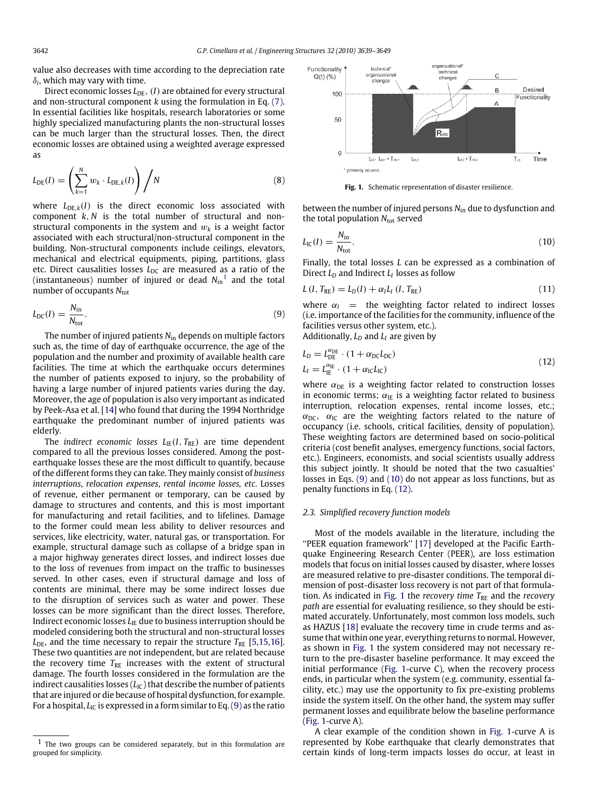value also decreases with time according to the depreciation rate  $\delta_i$ , which may vary with time.

Direct economic losses  $L_{DE}$ , (*I*) are obtained for every structural and non-structural component *k* using the formulation in Eq. [\(7\).](#page-2-1) In essential facilities like hospitals, research laboratories or some highly specialized manufacturing plants the non-structural losses can be much larger than the structural losses. Then, the direct economic losses are obtained using a weighted average expressed as

$$
L_{\text{DE}}(I) = \left(\sum_{k=1}^{N} w_k \cdot L_{\text{DE},k}(I)\right) / N \tag{8}
$$

where  $L_{DE,k}(I)$  is the direct economic loss associated with component *k*, *N* is the total number of structural and nonstructural components in the system and  $w_k$  is a weight factor associated with each structural/non-structural component in the building. Non-structural components include ceilings, elevators, mechanical and electrical equipments, piping, partitions, glass etc. Direct causalities losses *L*<sub>DC</sub> are measured as a ratio of the (instantaneous) number of injured or dead *N*in [1](#page-3-0) and the total number of occupants N<sub>tot</sub>

$$
L_{\rm DC}(I) = \frac{N_{\rm in}}{N_{\rm tot}}.\tag{9}
$$

The number of injured patients *N*in depends on multiple factors such as, the time of day of earthquake occurrence, the age of the population and the number and proximity of available health care facilities. The time at which the earthquake occurs determines the number of patients exposed to injury, so the probability of having a large number of injured patients varies during the day. Moreover, the age of population is also very important as indicated by Peek-Asa et al. [\[14\]](#page-10-13) who found that during the 1994 Northridge earthquake the predominant number of injured patients was elderly.

The *indirect economic losses*  $L_{IE}(I, T_{RE})$  are time dependent compared to all the previous losses considered. Among the postearthquake losses these are the most difficult to quantify, because of the different forms they can take. They mainly consist of *business interruptions*, *relocation expenses*, *rental income losses, etc*. Losses of revenue, either permanent or temporary, can be caused by damage to structures and contents, and this is most important for manufacturing and retail facilities, and to lifelines. Damage to the former could mean less ability to deliver resources and services, like electricity, water, natural gas, or transportation. For example, structural damage such as collapse of a bridge span in a major highway generates direct losses, and indirect losses due to the loss of revenues from impact on the traffic to businesses served. In other cases, even if structural damage and loss of contents are minimal, there may be some indirect losses due to the disruption of services such as water and power. These losses can be more significant than the direct losses. Therefore, Indirect economic losses *L*<sub>IE</sub> due to business interruption should be modeled considering both the structural and non-structural losses  $L_{\text{DE}}$ , and the time necessary to repair the structure  $T_{\text{RE}}$  [\[5,](#page-10-4)[15](#page-10-14)[,16\]](#page-10-15). These two quantities are not independent, but are related because the recovery time *T*<sub>RE</sub> increases with the extent of structural damage. The fourth losses considered in the formulation are the indirect causalities losses  $(L_{\text{IC}})$  that describe the number of patients that are injured or die because of hospital dysfunction, for example. For a hospital, *L*<sub>IC</sub> is expressed in a form similar to Eq. [\(9\)](#page-3-1) as the ratio

<span id="page-3-4"></span>

<span id="page-3-5"></span><span id="page-3-2"></span>**Fig. 1.** Schematic representation of disaster resilience.

between the number of injured persons *N*in due to dysfunction and the total population *N*<sub>tot</sub> served

$$
L_{\rm IC}(I) = \frac{N_{\rm in}}{N_{\rm tot}}.\tag{10}
$$

Finally, the total losses *L* can be expressed as a combination of Direct  $L<sub>D</sub>$  and Indirect  $L<sub>I</sub>$  losses as follow

$$
L(I, T_{RE}) = L_D(I) + \alpha_I L_I(I, T_{RE})
$$
\n(11)

<span id="page-3-1"></span>where  $\alpha$ <sub>*I*</sub> = the weighting factor related to indirect losses (i.e. importance of the facilities for the community, influence of the facilities versus other system, etc.).

<span id="page-3-3"></span>Additionally,  $L<sub>D</sub>$  and  $L<sub>I</sub>$  are given by

$$
L_D = L_{DE}^{\alpha_{DE}} \cdot (1 + \alpha_{DC} L_{DC})
$$
  
\n
$$
L_I = L_{IE}^{\alpha_{IE}} \cdot (1 + \alpha_{IC} L_{IC})
$$
\n(12)

where  $\alpha_{DE}$  is a weighting factor related to construction losses in economic terms;  $\alpha_{\text{IE}}$  is a weighting factor related to business interruption, relocation expenses, rental income losses, etc.;  $\alpha_{\text{DC}}$ ,  $\alpha_{\text{IC}}$  are the weighting factors related to the nature of occupancy (i.e. schools, critical facilities, density of population). These weighting factors are determined based on socio-political criteria (cost benefit analyses, emergency functions, social factors, etc.). Engineers, economists, and social scientists usually address this subject jointly. It should be noted that the two casualties' losses in Eqs. [\(9\)](#page-3-1) and [\(10\)](#page-3-2) do not appear as loss functions, but as penalty functions in Eq. [\(12\).](#page-3-3)

# *2.3. Simplified recovery function models*

Most of the models available in the literature, including the ''PEER equation framework'' [\[17\]](#page-10-16) developed at the Pacific Earthquake Engineering Research Center (PEER), are loss estimation models that focus on initial losses caused by disaster, where losses are measured relative to pre-disaster conditions. The temporal dimension of post-disaster loss recovery is not part of that formula-tion. As indicated in [Fig. 1](#page-3-4) the *recovery time* T<sub>RE</sub> and the *recovery path* are essential for evaluating resilience, so they should be estimated accurately. Unfortunately, most common loss models, such as HAZUS [\[18\]](#page-10-17) evaluate the recovery time in crude terms and assume that within one year, everything returns to normal. However, as shown in [Fig. 1](#page-3-4) the system considered may not necessary return to the pre-disaster baseline performance. It may exceed the initial performance [\(Fig. 1-](#page-3-4)curve C), when the recovery process ends, in particular when the system (e.g. community, essential facility, etc.) may use the opportunity to fix pre-existing problems inside the system itself. On the other hand, the system may suffer permanent losses and equilibrate below the baseline performance [\(Fig. 1-](#page-3-4)curve A).

A clear example of the condition shown in [Fig. 1-](#page-3-4)curve A is represented by Kobe earthquake that clearly demonstrates that certain kinds of long-term impacts losses do occur, at least in

<span id="page-3-0"></span><sup>1</sup> The two groups can be considered separately, but in this formulation are grouped for simplicity.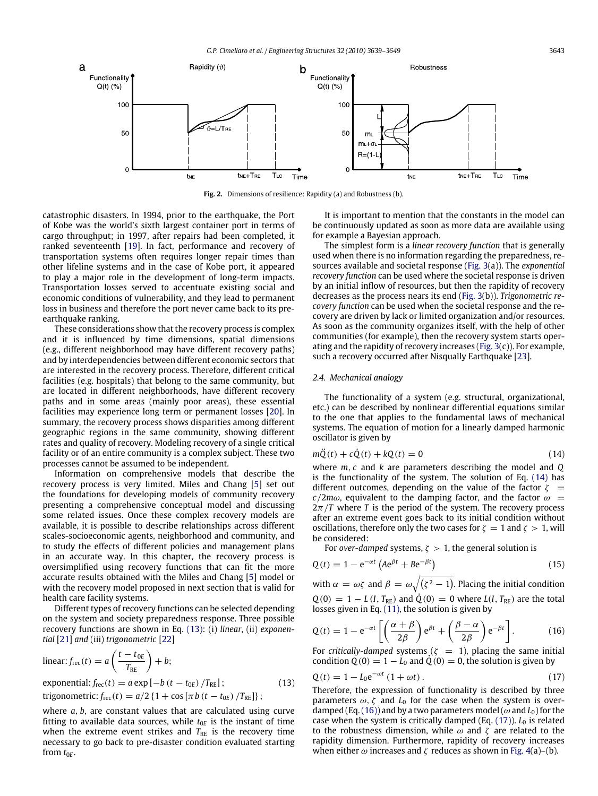<span id="page-4-0"></span>

**Fig. 2.** Dimensions of resilience: Rapidity (a) and Robustness (b).

catastrophic disasters. In 1994, prior to the earthquake, the Port of Kobe was the world's sixth largest container port in terms of cargo throughput; in 1997, after repairs had been completed, it ranked seventeenth [\[19\]](#page-10-18). In fact, performance and recovery of transportation systems often requires longer repair times than other lifeline systems and in the case of Kobe port, it appeared to play a major role in the development of long-term impacts. Transportation losses served to accentuate existing social and economic conditions of vulnerability, and they lead to permanent loss in business and therefore the port never came back to its preearthquake ranking.

These considerations show that the recovery process is complex and it is influenced by time dimensions, spatial dimensions (e.g., different neighborhood may have different recovery paths) and by interdependencies between different economic sectors that are interested in the recovery process. Therefore, different critical facilities (e.g. hospitals) that belong to the same community, but are located in different neighborhoods, have different recovery paths and in some areas (mainly poor areas), these essential facilities may experience long term or permanent losses [\[20\]](#page-10-19). In summary, the recovery process shows disparities among different geographic regions in the same community, showing different rates and quality of recovery. Modeling recovery of a single critical facility or of an entire community is a complex subject. These two processes cannot be assumed to be independent.

Information on comprehensive models that describe the recovery process is very limited. Miles and Chang [\[5\]](#page-10-4) set out the foundations for developing models of community recovery presenting a comprehensive conceptual model and discussing some related issues. Once these complex recovery models are available, it is possible to describe relationships across different scales-socioeconomic agents, neighborhood and community, and to study the effects of different policies and management plans in an accurate way. In this chapter, the recovery process is oversimplified using recovery functions that can fit the more accurate results obtained with the Miles and Chang [\[5\]](#page-10-4) model or with the recovery model proposed in next section that is valid for health care facility systems.

Different types of recovery functions can be selected depending on the system and society preparedness response. Three possible recovery functions are shown in Eq. [\(13\):](#page-4-1) (i) *linear*, (ii) *exponential* [\[21\]](#page-10-20) *and* (iii) *trigonometric* [\[22\]](#page-10-21)

linear: 
$$
f_{\text{rec}}(t) = a \left( \frac{t - t_{0E}}{T_{\text{RE}}} \right) + b;
$$
  
exponential:  $f_{\text{rec}}(t) = a \exp[-b (t - t_{0E}) / T_{\text{RE}}];$  (13)

trigonometric:  $f_{\text{rec}}(t) = a/2 \{1 + \cos[\pi b(t - t_{0E})/T_{\text{RE}}]\};$ 

where *a*, *b*, are constant values that are calculated using curve fitting to available data sources, while  $t_{0E}$  is the instant of time when the extreme event strikes and  $T_{RE}$  is the recovery time necessary to go back to pre-disaster condition evaluated starting from  $t_{0F}$ .

It is important to mention that the constants in the model can be continuously updated as soon as more data are available using for example a Bayesian approach.

The simplest form is a *linear recovery function* that is generally used when there is no information regarding the preparedness, resources available and societal response [\(Fig. 3\(](#page-5-0)a)). The *exponential recovery function* can be used where the societal response is driven by an initial inflow of resources, but then the rapidity of recovery decreases as the process nears its end [\(Fig. 3\(](#page-5-0)b)). *Trigonometric recovery function* can be used when the societal response and the recovery are driven by lack or limited organization and/or resources. As soon as the community organizes itself, with the help of other communities (for example), then the recovery system starts operating and the rapidity of recovery increases [\(Fig. 3\(](#page-5-0)c)). For example, such a recovery occurred after Nisqually Earthquake [\[23\]](#page-10-22).

#### *2.4. Mechanical analogy*

The functionality of a system (e.g. structural, organizational, etc.) can be described by nonlinear differential equations similar to the one that applies to the fundamental laws of mechanical systems. The equation of motion for a linearly damped harmonic oscillator is given by

<span id="page-4-2"></span>
$$
m\ddot{Q}(t) + c\dot{Q}(t) + kQ(t) = 0
$$
\n(14)

where *m*, *c* and *k* are parameters describing the model and *Q* is the functionality of the system. The solution of Eq. [\(14\)](#page-4-2) has different outcomes, depending on the value of the factor  $\zeta$  =  $c/2m\omega$ , equivalent to the damping factor, and the factor  $\omega =$  $2\pi/T$  where *T* is the period of the system. The recovery process after an extreme event goes back to its initial condition without oscillations, therefore only the two cases for  $\zeta = 1$  and  $\zeta > 1$ , will be considered:

For *over-damped* systems,  $\zeta > 1$ , the general solution is

$$
Q(t) = 1 - e^{-\alpha t} \left( A e^{\beta t} + B e^{-\beta t} \right)
$$
 (15)

with  $\alpha = \omega \zeta$  and  $\beta = \omega \sqrt{(\zeta^2 - 1)}$ . Placing the initial condition  $Q(0) = 1 - L(I, T_{RE})$  and  $\dot{Q}(0) = 0$  where  $L(I, T_{RE})$  are the total losses given in Eq. [\(11\),](#page-3-5) the solution is given by

<span id="page-4-3"></span>
$$
Q(t) = 1 - e^{-\alpha t} \left[ \left( \frac{\alpha + \beta}{2\beta} \right) e^{\beta t} + \left( \frac{\beta - \alpha}{2\beta} \right) e^{-\beta t} \right].
$$
 (16)

For *critically-damped* systems ( $\zeta = 1$ ), placing the same initial condition  $Q(0) = 1 - L_0$  and  $\dot{Q}(0) = 0$ , the solution is given by

<span id="page-4-4"></span><span id="page-4-1"></span>
$$
Q(t) = 1 - L_0 e^{-\omega t} (1 + \omega t).
$$
 (17)

Therefore, the expression of functionality is described by three parameters  $\omega$ ,  $\zeta$  and  $L_0$  for the case when the system is over-damped (Eq. [\(16\)\)](#page-4-3) and by a two parameters model ( $\omega$  and  $L_0$ ) for the case when the system is critically damped (Eq.  $(17)$ ).  $L_0$  is related to the robustness dimension, while  $\omega$  and  $\zeta$  are related to the rapidity dimension. Furthermore, rapidity of recovery increases when either  $\omega$  increases and  $\zeta$  reduces as shown in [Fig. 4\(](#page-5-1)a)–(b).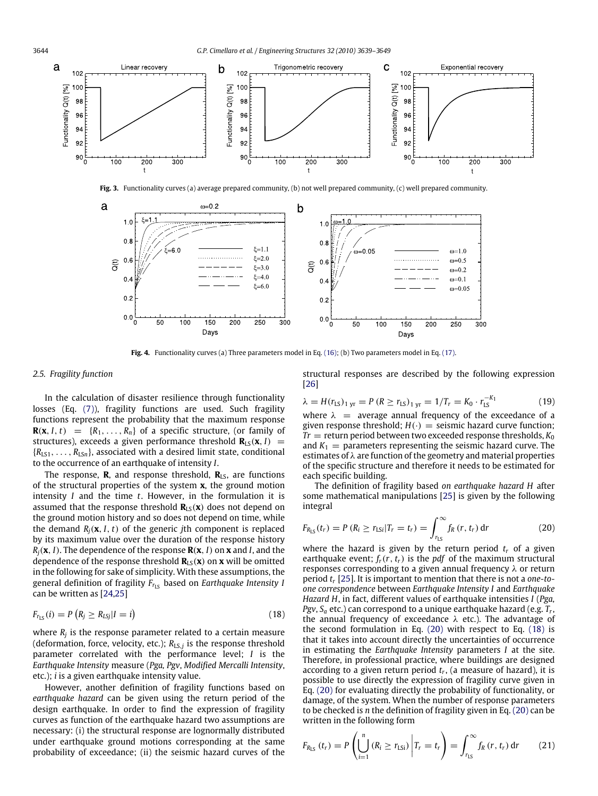<span id="page-5-0"></span>

**Fig. 3.** Functionality curves (a) average prepared community, (b) not well prepared community, (c) well prepared community.

<span id="page-5-1"></span>

**Fig. 4.** Functionality curves (a) Three parameters model in Eq. [\(16\);](#page-4-3) (b) Two parameters model in Eq. [\(17\).](#page-4-4)

#### *2.5. Fragility function*

In the calculation of disaster resilience through functionality losses (Eq. [\(7\)\)](#page-2-1), fragility functions are used. Such fragility functions represent the probability that the maximum response  $$ structures), exceeds a given performance threshold  $\mathbf{R}_{LS}(\mathbf{x}, I)$  = {*R*LS1, . . . , *R*LS*n*}, associated with a desired limit state, conditional to the occurrence of an earthquake of intensity *I*.

The response, **R**, and response threshold,  $\mathbf{R}_{LS}$ , are functions of the structural properties of the system **x**, the ground motion intensity *I* and the time *t*. However, in the formulation it is assumed that the response threshold  $\mathbf{R}_{LS}(\mathbf{x})$  does not depend on the ground motion history and so does not depend on time, while the demand  $R_i$ ( $\mathbf{x}, I, t$ ) of the generic *j*th component is replaced by its maximum value over the duration of the response history *Rj*(**x**, *I*). The dependence of the response **R**(**x**, *I*) on **x** and *I*, and the dependence of the response threshold  $\mathbf{R}_{LS}(\mathbf{x})$  on  $\mathbf{x}$  will be omitted in the following for sake of simplicity. With these assumptions, the general definition of fragility  $F_{r_{IS}}$  based on *Earthquake Intensity I* can be written as [\[24,](#page-10-23)[25\]](#page-10-24)

$$
F_{r_{LS}}(i) = P\left(R_j \ge R_{LSj}|I=i\right) \tag{18}
$$

where *R<sup>j</sup>* is the response parameter related to a certain measure (deformation, force, velocity, etc.); *R<sub>LS.j</sub>* is the response threshold parameter correlated with the performance level; *I* is the *Earthquake Intensity* measure (*Pga, Pgv*, *Modified Mercalli Intensity*, etc.); *i* is a given earthquake intensity value.

However, another definition of fragility functions based on *earthquake hazard* can be given using the return period of the design earthquake. In order to find the expression of fragility curves as function of the earthquake hazard two assumptions are necessary: (i) the structural response are lognormally distributed under earthquake ground motions corresponding at the same probability of exceedance; (ii) the seismic hazard curves of the structural responses are described by the following expression [\[26\]](#page-10-25)

$$
\lambda = H(r_{LS})_{1 \text{ yr}} = P (R \ge r_{LS})_{1 \text{ yr}} = 1/T_r = K_0 \cdot r_{LS}^{-K_1}
$$
(19)

where  $\lambda$  = average annual frequency of the exceedance of a given response threshold;  $H(\cdot)$  = seismic hazard curve function;  $Tr$  = return period between two exceeded response thresholds,  $K_0$ and  $K_1$  = parameters representing the seismic hazard curve. The estimates of  $\lambda$  are function of the geometry and material properties of the specific structure and therefore it needs to be estimated for each specific building.

The definition of fragility based *on earthquake hazard H* after some mathematical manipulations [\[25\]](#page-10-24) is given by the following integral

<span id="page-5-2"></span>
$$
F_{R_{LS}}(t_r) = P (R_i \ge r_{LSi} | T_r = t_r) = \int_{r_{LS}}^{\infty} f_R (r, t_r) dr
$$
 (20)

<span id="page-5-3"></span>where the hazard is given by the return period  $t_r$  of a given earthquake event;  $f_r(r, t_r)$  is the *pdf* of the maximum structural responses corresponding to a given annual frequency  $\lambda$  or return period *t<sup>r</sup>* [\[25\]](#page-10-24). It is important to mention that there is not a *one-toone correspondence* between *Earthquake Intensity I* and *Earthquake Hazard H*, in fact, different values of earthquake intensities *I* (*Pga, Pgv*, *S<sup>a</sup>* etc.) can correspond to a unique earthquake hazard (e.g. *T<sup>r</sup>* , the annual frequency of exceedance  $\lambda$  etc.). The advantage of the second formulation in Eq. [\(20\)](#page-5-2) with respect to Eq. [\(18\)](#page-5-3) is that it takes into account directly the uncertainties of occurrence in estimating the *Earthquake Intensity* parameters *I* at the site. Therefore, in professional practice, where buildings are designed according to a given return period  $t_r$ , (a measure of hazard), it is possible to use directly the expression of fragility curve given in Eq. [\(20\)](#page-5-2) for evaluating directly the probability of functionality, or damage, of the system. When the number of response parameters to be checked is *n* the definition of fragility given in Eq. [\(20\)](#page-5-2) can be written in the following form

<span id="page-5-4"></span>
$$
F_{R_{LS}}(t_r) = P\left(\bigcup_{i=1}^n (R_i \ge r_{LSi}) \middle| T_r = t_r\right) = \int_{r_{LS}}^\infty f_R(r, t_r) dr \qquad (21)
$$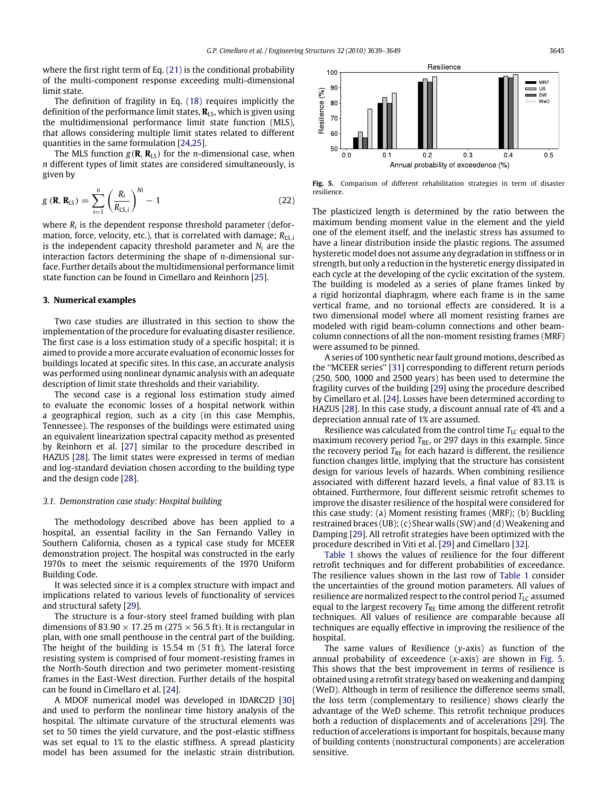where the first right term of Eq. [\(21\)](#page-5-4) is the conditional probability of the multi-component response exceeding multi-dimensional limit state.

The definition of fragility in Eq. [\(18\)](#page-5-3) requires implicitly the definition of the performance limit states,  $\mathbf{R}_{LS}$ , which is given using the multidimensional performance limit state function (MLS), that allows considering multiple limit states related to different quantities in the same formulation [\[24](#page-10-23)[,25\]](#page-10-24).

The MLS function  $g(\mathbf{R}, \mathbf{R}_{\text{IS}})$  for the *n*-dimensional case, when *n* different types of limit states are considered simultaneously, is given by

$$
g\left(\mathbf{R}, \mathbf{R}_{LS}\right) = \sum_{i=1}^{n} \left(\frac{R_i}{R_{LS,i}}\right)^{Ni} - 1\tag{22}
$$

where  $R_i$  is the dependent response threshold parameter (defor-  $\,$ mation, force, velocity, etc.), that is correlated with damage;  $R_{\text{LS},i}$ is the independent capacity threshold parameter and  $N_i$  are the interaction factors determining the shape of *n*-dimensional surface. Further details about the multidimensional performance limit state function can be found in Cimellaro and Reinhorn [\[25\]](#page-10-24).

#### **3. Numerical examples**

Two case studies are illustrated in this section to show the implementation of the procedure for evaluating disaster resilience. The first case is a loss estimation study of a specific hospital; it is aimed to provide a more accurate evaluation of economic losses for buildings located at specific sites. In this case, an accurate analysis was performed using nonlinear dynamic analysis with an adequate description of limit state thresholds and their variability.

The second case is a regional loss estimation study aimed to evaluate the economic losses of a hospital network within a geographical region, such as a city (in this case Memphis, Tennessee). The responses of the buildings were estimated using an equivalent linearization spectral capacity method as presented by Reinhorn et al. [\[27\]](#page-10-26) similar to the procedure described in HAZUS [\[28\]](#page-10-27). The limit states were expressed in terms of median and log-standard deviation chosen according to the building type and the design code [\[28\]](#page-10-27).

#### *3.1. Demonstration case study: Hospital building*

The methodology described above has been applied to a hospital, an essential facility in the San Fernando Valley in Southern California, chosen as a typical case study for MCEER demonstration project. The hospital was constructed in the early 1970s to meet the seismic requirements of the 1970 Uniform Building Code.

It was selected since it is a complex structure with impact and implications related to various levels of functionality of services and structural safety [\[29\]](#page-10-28).

The structure is a four-story steel framed building with plan dimensions of 83.90  $\times$  17.25 m (275  $\times$  56.5 ft). It is rectangular in plan, with one small penthouse in the central part of the building. The height of the building is 15.54 m (51 ft). The lateral force resisting system is comprised of four moment-resisting frames in the North-South direction and two perimeter moment-resisting frames in the East-West direction. Further details of the hospital can be found in Cimellaro et al. [\[24\]](#page-10-23).

A MDOF numerical model was developed in IDARC2D [\[30\]](#page-10-29) and used to perform the nonlinear time history analysis of the hospital. The ultimate curvature of the structural elements was set to 50 times the yield curvature, and the post-elastic stiffness was set equal to 1% to the elastic stiffness. A spread plasticity model has been assumed for the inelastic strain distribution.

<span id="page-6-0"></span>

**Fig. 5.** Comparison of different rehabilitation strategies in term of disaster resilience.

The plasticized length is determined by the ratio between the maximum bending moment value in the element and the yield one of the element itself, and the inelastic stress has assumed to have a linear distribution inside the plastic regions. The assumed hysteretic model does not assume any degradation in stiffness or in strength, but only a reduction in the hysteretic energy dissipated in each cycle at the developing of the cyclic excitation of the system. The building is modeled as a series of plane frames linked by a rigid horizontal diaphragm, where each frame is in the same vertical frame, and no torsional effects are considered. It is a two dimensional model where all moment resisting frames are modeled with rigid beam-column connections and other beamcolumn connections of all the non-moment resisting frames (MRF) were assumed to be pinned.

A series of 100 synthetic near fault ground motions, described as the ''MCEER series'' [\[31\]](#page-10-30) corresponding to different return periods (250, 500, 1000 and 2500 years) has been used to determine the fragility curves of the building [\[29\]](#page-10-28) using the procedure described by Cimellaro et al. [\[24\]](#page-10-23). Losses have been determined according to HAZUS [\[28\]](#page-10-27). In this case study, a discount annual rate of 4% and a depreciation annual rate of 1% are assumed.

Resilience was calculated from the control time  $T_{\text{LC}}$  equal to the maximum recovery period  $T_{RE}$ , or 297 days in this example. Since the recovery period  $T_{RE}$  for each hazard is different, the resilience function changes little, implying that the structure has consistent design for various levels of hazards. When combining resilience associated with different hazard levels, a final value of 83.1% is obtained. Furthermore, four different seismic retrofit schemes to improve the disaster resilience of the hospital were considered for this case study: (a) Moment resisting frames (MRF); (b) Buckling restrained braces (UB); (c) Shear walls (SW) and (d) Weakening and Damping [\[29\]](#page-10-28). All retrofit strategies have been optimized with the procedure described in Viti et al. [\[29\]](#page-10-28) and Cimellaro [\[32\]](#page-10-31).

[Table 1](#page-7-0) shows the values of resilience for the four different retrofit techniques and for different probabilities of exceedance. The resilience values shown in the last row of [Table 1](#page-7-0) consider the uncertainties of the ground motion parameters. All values of resilience are normalized respect to the control period  $T_{\text{LC}}$  assumed equal to the largest recovery  $T_{RE}$  time among the different retrofit techniques. All values of resilience are comparable because all techniques are equally effective in improving the resilience of the hospital.

The same values of Resilience (*y*-axis) as function of the annual probability of exceedence (*x*-axis) are shown in [Fig. 5.](#page-6-0) This shows that the best improvement in terms of resilience is obtained using a retrofit strategy based on weakening and damping (WeD). Although in term of resilience the difference seems small, the loss term (complementary to resilience) shows clearly the advantage of the WeD scheme. This retrofit technique produces both a reduction of displacements and of accelerations [\[29\]](#page-10-28). The reduction of accelerations is important for hospitals, because many of building contents (nonstructural components) are acceleration sensitive.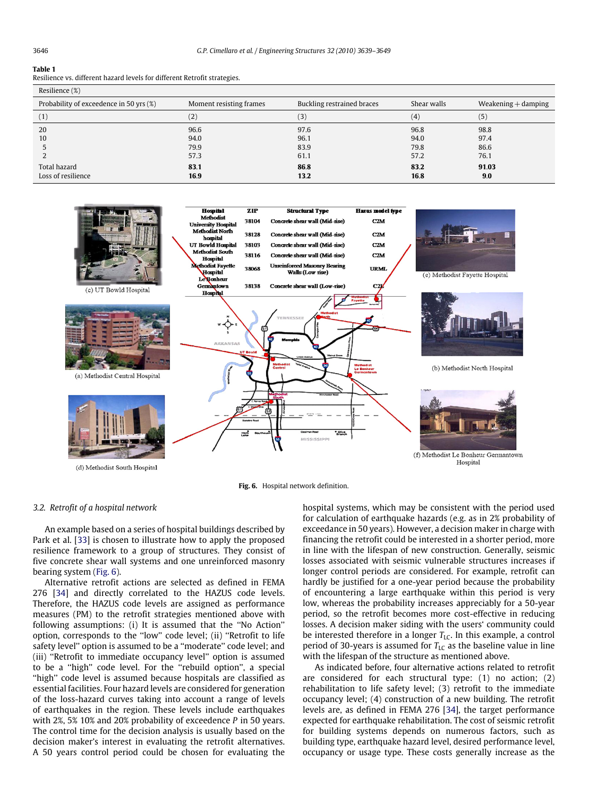#### <span id="page-7-0"></span>**Table 1**

Resilience vs. different hazard levels for different Retrofit strategies.

| Resilience (%)                          |                         |                            |             |                       |
|-----------------------------------------|-------------------------|----------------------------|-------------|-----------------------|
| Probability of exceedence in 50 yrs (%) | Moment resisting frames | Buckling restrained braces | Shear walls | Weakening $+$ damping |
| (1)                                     | (2)                     | (3)                        | (4)         | (5)                   |
| 20                                      | 96.6                    | 97.6                       | 96.8        | 98.8                  |
| 10                                      | 94.0                    | 96.1                       | 94.0        | 97.4                  |
|                                         | 79.9                    | 83.9                       | 79.8        | 86.6                  |
|                                         | 57.3                    | 61.1                       | 57.2        | 76.1                  |
| Total hazard                            | 83.1                    | 86.8                       | 83.2        | 91.03                 |
| Loss of resilience                      | 16.9                    | 13.2                       | 16.8        | 9.0                   |

<span id="page-7-1"></span>

**Fig. 6.** Hospital network definition.

# *3.2. Retrofit of a hospital network*

An example based on a series of hospital buildings described by Park et al. [\[33\]](#page-10-32) is chosen to illustrate how to apply the proposed resilience framework to a group of structures. They consist of five concrete shear wall systems and one unreinforced masonry bearing system [\(Fig. 6\)](#page-7-1).

Alternative retrofit actions are selected as defined in FEMA 276 [\[34\]](#page-10-33) and directly correlated to the HAZUS code levels. Therefore, the HAZUS code levels are assigned as performance measures (PM) to the retrofit strategies mentioned above with following assumptions: (i) It is assumed that the ''No Action'' option, corresponds to the ''low'' code level; (ii) ''Retrofit to life safety level'' option is assumed to be a ''moderate'' code level; and (iii) ''Retrofit to immediate occupancy level'' option is assumed to be a ''high'' code level. For the ''rebuild option'', a special "high" code level is assumed because hospitals are classified as essential facilities. Four hazard levels are considered for generation of the loss-hazard curves taking into account a range of levels of earthquakes in the region. These levels include earthquakes with 2%, 5% 10% and 20% probability of exceedence *P* in 50 years. The control time for the decision analysis is usually based on the decision maker's interest in evaluating the retrofit alternatives. A 50 years control period could be chosen for evaluating the hospital systems, which may be consistent with the period used for calculation of earthquake hazards (e.g. as in 2% probability of exceedance in 50 years). However, a decision maker in charge with financing the retrofit could be interested in a shorter period, more in line with the lifespan of new construction. Generally, seismic losses associated with seismic vulnerable structures increases if longer control periods are considered. For example, retrofit can hardly be justified for a one-year period because the probability of encountering a large earthquake within this period is very low, whereas the probability increases appreciably for a 50-year period, so the retrofit becomes more cost-effective in reducing losses. A decision maker siding with the users' community could be interested therefore in a longer  $T_{LC}$ . In this example, a control period of 30-years is assumed for  $T_{LC}$  as the baseline value in line with the lifespan of the structure as mentioned above.

As indicated before, four alternative actions related to retrofit are considered for each structural type: (1) no action; (2) rehabilitation to life safety level; (3) retrofit to the immediate occupancy level; (4) construction of a new building. The retrofit levels are, as defined in FEMA 276 [\[34\]](#page-10-33), the target performance expected for earthquake rehabilitation. The cost of seismic retrofit for building systems depends on numerous factors, such as building type, earthquake hazard level, desired performance level, occupancy or usage type. These costs generally increase as the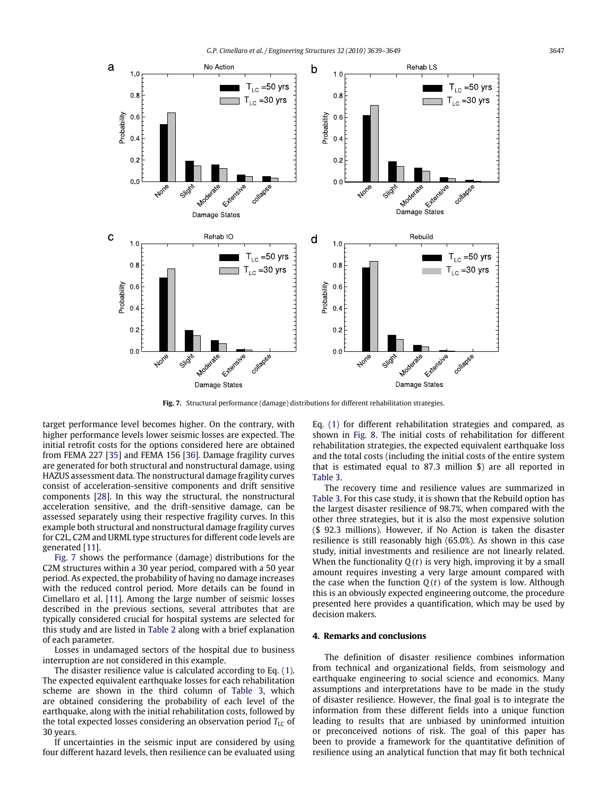<span id="page-8-0"></span>

**Fig. 7.** Structural performance (damage) distributions for different rehabilitation strategies.

target performance level becomes higher. On the contrary, with higher performance levels lower seismic losses are expected. The initial retrofit costs for the options considered here are obtained from FEMA 227 [\[35\]](#page-10-34) and FEMA 156 [\[36\]](#page-10-35). Damage fragility curves are generated for both structural and nonstructural damage, using HAZUS assessment data. The nonstructural damage fragility curves consist of acceleration-sensitive components and drift sensitive components [\[28\]](#page-10-27). In this way the structural, the nonstructural acceleration sensitive, and the drift-sensitive damage, can be assessed separately using their respective fragility curves. In this example both structural and nonstructural damage fragility curves for C2L, C2M and URML type structures for different code levels are generated [\[11\]](#page-10-10).

[Fig. 7](#page-8-0) shows the performance (damage) distributions for the C2M structures within a 30 year period, compared with a 50 year period. As expected, the probability of having no damage increases with the reduced control period. More details can be found in Cimellaro et al. [\[11\]](#page-10-10). Among the large number of seismic losses described in the previous sections, several attributes that are typically considered crucial for hospital systems are selected for this study and are listed in [Table 2](#page-9-0) along with a brief explanation of each parameter.

Losses in undamaged sectors of the hospital due to business interruption are not considered in this example.

The disaster resilience value is calculated according to Eq. [\(1\).](#page-1-0) The expected equivalent earthquake losses for each rehabilitation scheme are shown in the third column of [Table 3,](#page-9-1) which are obtained considering the probability of each level of the earthquake, along with the initial rehabilitation costs, followed by the total expected losses considering an observation period  $T_{LC}$  of 30 years.

If uncertainties in the seismic input are considered by using four different hazard levels, then resilience can be evaluated using Eq. [\(1\)](#page-1-0) for different rehabilitation strategies and compared, as shown in [Fig. 8.](#page-9-2) The initial costs of rehabilitation for different rehabilitation strategies, the expected equivalent earthquake loss and the total costs (including the initial costs of the entire system that is estimated equal to 87.3 million \$) are all reported in [Table 3.](#page-9-1)

The recovery time and resilience values are summarized in [Table 3.](#page-9-1) For this case study, it is shown that the Rebuild option has the largest disaster resilience of 98.7%, when compared with the other three strategies, but it is also the most expensive solution (\$ 92.3 millions). However, if No Action is taken the disaster resilience is still reasonably high (65.0%). As shown in this case study, initial investments and resilience are not linearly related. When the functionality  $Q(t)$  is very high, improving it by a small amount requires investing a very large amount compared with the case when the function  $Q(t)$  of the system is low. Although this is an obviously expected engineering outcome, the procedure presented here provides a quantification, which may be used by decision makers.

# **4. Remarks and conclusions**

The definition of disaster resilience combines information from technical and organizational fields, from seismology and earthquake engineering to social science and economics. Many assumptions and interpretations have to be made in the study of disaster resilience. However, the final goal is to integrate the information from these different fields into a unique function leading to results that are unbiased by uninformed intuition or preconceived notions of risk. The goal of this paper has been to provide a framework for the quantitative definition of resilience using an analytical function that may fit both technical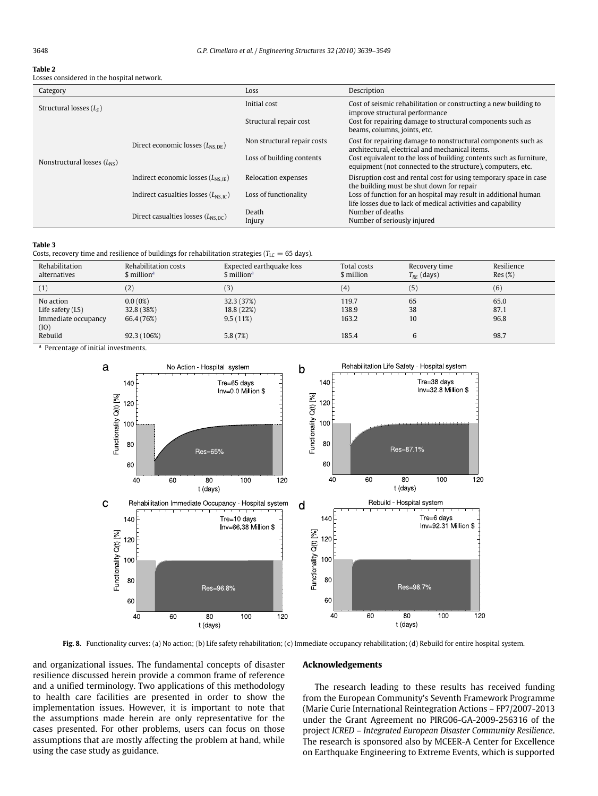#### <span id="page-9-0"></span>**Table 2**

Losses considered in the hospital network.

| Category                        |                                               | Loss                        | Description                                                                                                                        |
|---------------------------------|-----------------------------------------------|-----------------------------|------------------------------------------------------------------------------------------------------------------------------------|
| Structural losses $(L_s)$       |                                               | Initial cost                | Cost of seismic rehabilitation or constructing a new building to<br>improve structural performance                                 |
| Nonstructural losses $(L_{NS})$ |                                               | Structural repair cost      | Cost for repairing damage to structural components such as<br>beams, columns, joints, etc.                                         |
|                                 | Direct economic losses $(L_{NS,DE})$          | Non structural repair costs | Cost for repairing damage to nonstructural components such as<br>architectural, electrical and mechanical items.                   |
|                                 |                                               | Loss of building contents   | Cost equivalent to the loss of building contents such as furniture,<br>equipment (not connected to the structure), computers, etc. |
|                                 | Indirect economic losses $(L_{NS,IE})$        | Relocation expenses         | Disruption cost and rental cost for using temporary space in case<br>the building must be shut down for repair                     |
|                                 | Indirect casualties losses $(L_{NS,IC})$      | Loss of functionality       | Loss of function for an hospital may result in additional human<br>life losses due to lack of medical activities and capability    |
|                                 | Direct casualties losses $(L_{\text{NS DC}})$ | Death<br>Injury             | Number of deaths<br>Number of seriously injured                                                                                    |

#### <span id="page-9-1"></span>**Table 3**

Costs, recovery time and resilience of buildings for rehabilitation strategies ( $T_{\text{LC}} = 65$  days).

| Rehabilitation<br>alternatives                                 | Rehabilitation costs<br>\$ million <sup>a</sup> | Expected earthquake loss<br>$$$ million <sup>a</sup> | Total costs<br>\$ million | Recovery time<br>$T_{RF}$ (days) | Resilience<br>Res(%) |
|----------------------------------------------------------------|-------------------------------------------------|------------------------------------------------------|---------------------------|----------------------------------|----------------------|
| (1)                                                            | $\left( 2\right)$                               | (3)                                                  | (4)                       | (5)                              | (6)                  |
| No action<br>Life safety $(LS)$<br>Immediate occupancy<br>(IO) | $0.0(0\%)$<br>32.8 (38%)<br>66.4 (76%)          | 32.3 (37%)<br>18.8 (22%)<br>$9.5(11\%)$              | 119.7<br>138.9<br>163.2   | 65<br>38<br>10                   | 65.0<br>87.1<br>96.8 |
| Rebuild                                                        | 92.3 (106%)                                     | 5.8(7%)                                              | 185.4                     | $\mathbf b$                      | 98.7                 |

<span id="page-9-3"></span><span id="page-9-2"></span><sup>a</sup> Percentage of initial investments.



**Fig. 8.** Functionality curves: (a) No action; (b) Life safety rehabilitation; (c) Immediate occupancy rehabilitation; (d) Rebuild for entire hospital system.

and organizational issues. The fundamental concepts of disaster resilience discussed herein provide a common frame of reference and a unified terminology. Two applications of this methodology to health care facilities are presented in order to show the implementation issues. However, it is important to note that the assumptions made herein are only representative for the cases presented. For other problems, users can focus on those assumptions that are mostly affecting the problem at hand, while using the case study as guidance.

# **Acknowledgements**

The research leading to these results has received funding from the European Community's Seventh Framework Programme (Marie Curie International Reintegration Actions – FP7/2007-2013 under the Grant Agreement no PIRG06-GA-2009-256316 of the project *ICRED – Integrated European Disaster Community Resilience*. The research is sponsored also by MCEER-A Center for Excellence on Earthquake Engineering to Extreme Events, which is supported